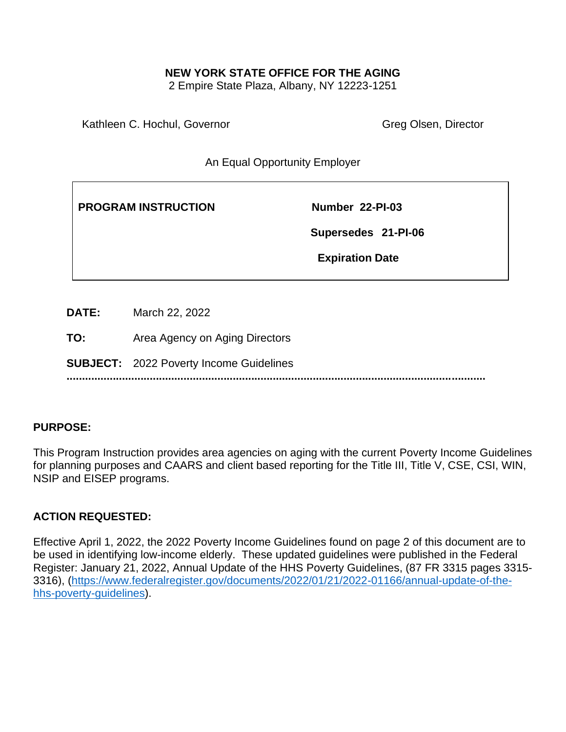## **NEW YORK STATE OFFICE FOR THE AGING**

2 Empire State Plaza, Albany, NY 12223-1251

Kathleen C. Hochul, Governor Greg Olsen, Director

An Equal Opportunity Employer

**PROGRAM INSTRUCTION Number 22-PI-03** 

 **Supersedes 21-PI-06**

 **Expiration Date** 

**DATE:** March 22, 2022

**TO:** Area Agency on Aging Directors

**SUBJECT:** 2022 Poverty Income Guidelines

**........................................................................................................................................**

## **PURPOSE:**

This Program Instruction provides area agencies on aging with the current Poverty Income Guidelines for planning purposes and CAARS and client based reporting for the Title III, Title V, CSE, CSI, WIN, NSIP and EISEP programs.

## **ACTION REQUESTED:**

Effective April 1, 2022, the 2022 Poverty Income Guidelines found on page 2 of this document are to be used in identifying low-income elderly. These updated guidelines were published in the Federal Register: January 21, 2022, Annual Update of the HHS Poverty Guidelines, (87 FR 3315 pages 3315- 3316), [\(https://www.federalregister.gov/documents/2022/01/21/2022-01166/annual-update-of-the](https://www.federalregister.gov/documents/2022/01/21/2022-01166/annual-update-of-the-hhs-poverty-guidelines)[hhs-poverty-guidelines\)](https://www.federalregister.gov/documents/2022/01/21/2022-01166/annual-update-of-the-hhs-poverty-guidelines).